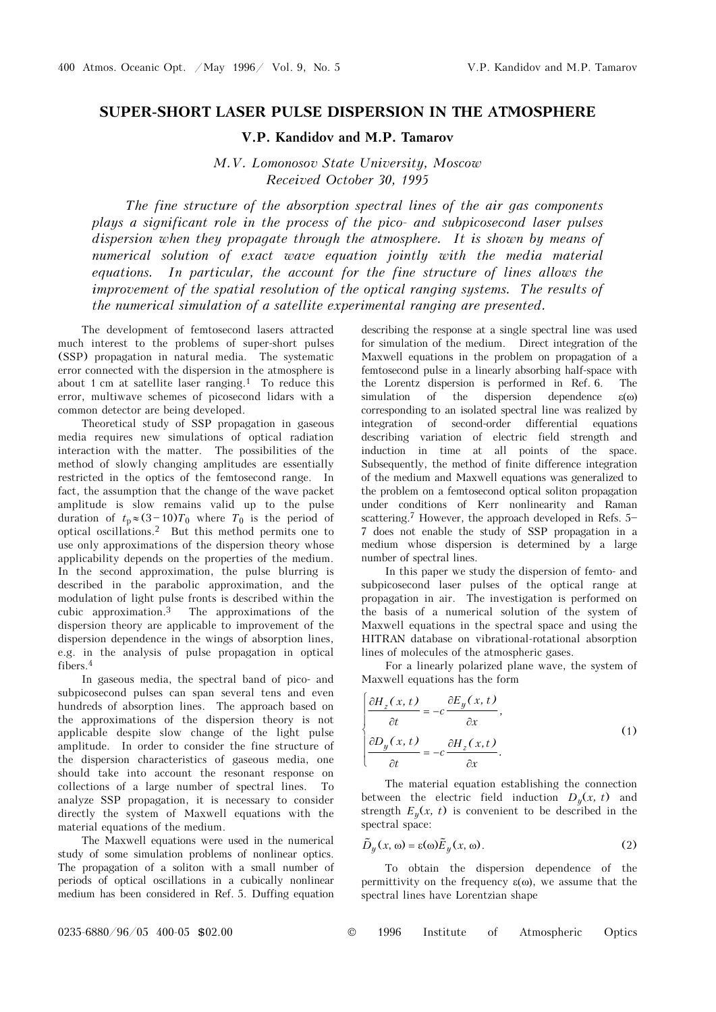## **SUPER-SHORT LASER PULSE DISPERSION IN THE ATMOSPHERE**

**V.P. Kandidov and M.P. Tamarov** 

*M.V. Lomonosov State University, Moscow Received October 30, 1995* 

*The fine structure of the absorption spectral lines of the air gas components plays a significant role in the process of the pico- and subpicosecond laser pulses dispersion when they propagate through the atmosphere. It is shown by means of numerical solution of exact wave equation jointly with the media material equations. In particular, the account for the fine structure of lines allows the improvement of the spatial resolution of the optical ranging systems. The results of the numerical simulation of a satellite experimental ranging are presented.* 

The development of femtosecond lasers attracted much interest to the problems of super-short pulses (SSP) propagation in natural media. The systematic error connected with the dispersion in the atmosphere is about 1 cm at satellite laser ranging.1 To reduce this error, multiwave schemes of picosecond lidars with a common detector are being developed.

Theoretical study of SSP propagation in gaseous media requires new simulations of optical radiation interaction with the matter. The possibilities of the method of slowly changing amplitudes are essentially restricted in the optics of the femtosecond range. In fact, the assumption that the change of the wave packet amplitude is slow remains valid up to the pulse duration of  $t_p \approx (3-10)T_0$  where  $T_0$  is the period of optical oscillations.2 But this method permits one to use only approximations of the dispersion theory whose applicability depends on the properties of the medium. In the second approximation, the pulse blurring is described in the parabolic approximation, and the modulation of light pulse fronts is described within the cubic approximation.<sup>3</sup> The approximations of the The approximations of the dispersion theory are applicable to improvement of the dispersion dependence in the wings of absorption lines, e.g. in the analysis of pulse propagation in optical fibers.4

In gaseous media, the spectral band of pico- and subpicosecond pulses can span several tens and even hundreds of absorption lines. The approach based on the approximations of the dispersion theory is not applicable despite slow change of the light pulse amplitude. In order to consider the fine structure of the dispersion characteristics of gaseous media, one should take into account the resonant response on collections of a large number of spectral lines. To analyze SSP propagation, it is necessary to consider directly the system of Maxwell equations with the material equations of the medium.

The Maxwell equations were used in the numerical study of some simulation problems of nonlinear optics. The propagation of a soliton with a small number of periods of optical oscillations in a cubically nonlinear medium has been considered in Ref. 5. Duffing equation

describing the response at a single spectral line was used for simulation of the medium. Direct integration of the Maxwell equations in the problem on propagation of a femtosecond pulse in a linearly absorbing half-space with the Lorentz dispersion is performed in Ref. 6. The simulation of the dispersion dependence  $\varepsilon(\omega)$ corresponding to an isolated spectral line was realized by integration of second-order differential equations describing variation of electric field strength and induction in time at all points of the space. Subsequently, the method of finite difference integration of the medium and Maxwell equations was generalized to the problem on a femtosecond optical soliton propagation under conditions of Kerr nonlinearity and Raman scattering.<sup>7</sup> However, the approach developed in Refs.  $5-$ 7 does not enable the study of SSP propagation in a medium whose dispersion is determined by a large number of spectral lines.

In this paper we study the dispersion of femto- and subpicosecond laser pulses of the optical range at propagation in air. The investigation is performed on the basis of a numerical solution of the system of Maxwell equations in the spectral space and using the HITRAN database on vibrational-rotational absorption lines of molecules of the atmospheric gases.

For a linearly polarized plane wave, the system of Maxwell equations has the form

$$
\begin{cases}\n\frac{\partial H_z(x,t)}{\partial t} = -c \frac{\partial E_y(x,t)}{\partial x}, \\
\frac{\partial D_y(x,t)}{\partial t} = -c \frac{\partial H_z(x,t)}{\partial x}.\n\end{cases}
$$
\n(1)

The material equation establishing the connection between the electric field induction  $D_y(x, t)$  and strength  $E_y(x, t)$  is convenient to be described in the spectral space:

$$
\tilde{D}_y(x, \omega) = \varepsilon(\omega)\tilde{E}_y(x, \omega).
$$
 (2)

To obtain the dispersion dependence of the permittivity on the frequency  $\varepsilon(\omega)$ , we assume that the spectral lines have Lorentzian shape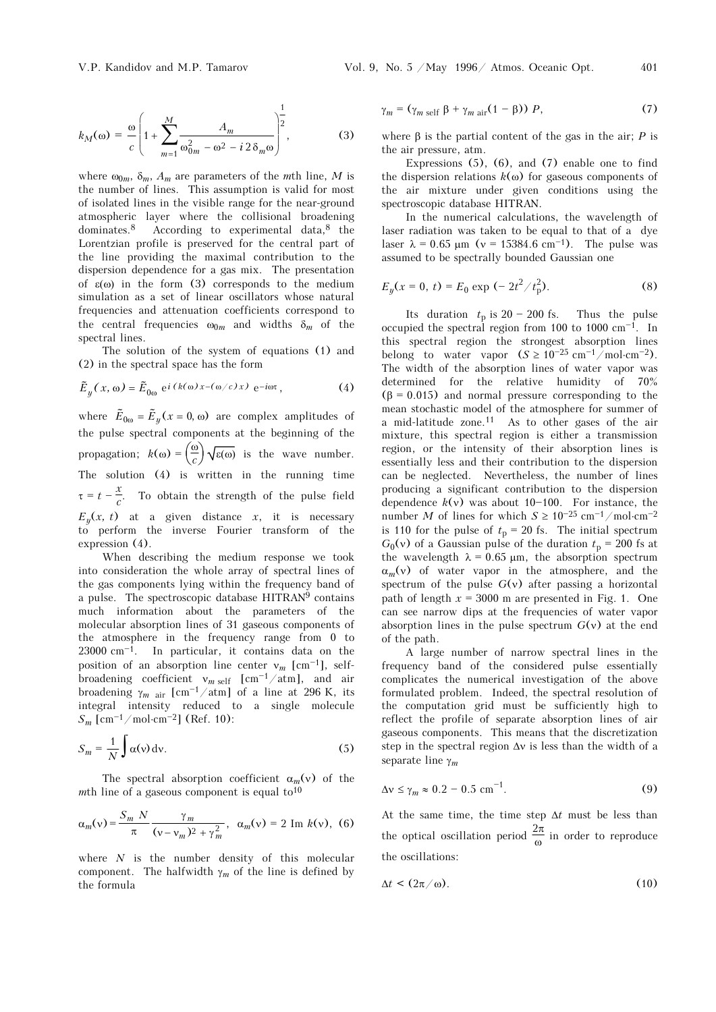where  $\omega_{0m}$ ,  $\delta_m$ ,  $A_m$  are parameters of the *m*th line, *M* is the number of lines. This assumption is valid for most of isolated lines in the visible range for the near-ground atmospheric layer where the collisional broadening dominates. $8$  According to experimental data, $8$  the Lorentzian profile is preserved for the central part of the line providing the maximal contribution to the dispersion dependence for a gas mix. The presentation of ε(ω) in the form (3) corresponds to the medium simulation as a set of linear oscillators whose natural frequencies and attenuation coefficients correspond to the central frequencies  $\omega_{0m}$  and widths  $\delta_m$  of the spectral lines.

The solution of the system of equations (1) and (2) in the spectral space has the form

$$
\tilde{E}_y(x, \omega) = \tilde{E}_{0\omega} e^{i (k(\omega)x - (\omega/c)x)} e^{-i\omega t}, \qquad (4)
$$

where  $\tilde{E}_{0\omega} = \tilde{E}_y (x = 0, \omega)$  are complex amplitudes of the pulse spectral components at the beginning of the propagation;  $k(\omega) = \left(\frac{\omega}{c}\right) \sqrt{\varepsilon(\omega)}$  is the wave number. The solution  $(4)$  is written in the running time  $\tau = t - \frac{x}{c}$ . To obtain the strength of the pulse field  $E_y(x, t)$  at a given distance *x*, it is necessary to perform the inverse Fourier transform of the expression (4).

When describing the medium response we took into consideration the whole array of spectral lines of the gas components lying within the frequency band of a pulse. The spectroscopic database HITRAN9 contains much information about the parameters of the molecular absorption lines of 31 gaseous components of the atmosphere in the frequency range from 0 to  $23000 \text{ cm}^{-1}$ . In particular, it contains data on the position of an absorption line center  $v_m$  [cm<sup>-1</sup>], selfbroadening coefficient  $v_{m \text{ self }}$  [cm<sup>-1</sup>/atm], and air broadening  $\gamma_{m\ \rm air}$  [cm<sup>-1</sup>/atm] of a line at 296 K, its integral intensity reduced to a single molecule  $S_m$  [cm<sup>-1</sup>/mol⋅cm<sup>-2</sup>] (Ref. 10):

$$
S_m = \frac{1}{N} \int \alpha(v) \, dv. \tag{5}
$$

The spectral absorption coefficient  $\alpha_m(v)$  of the *m*th line of a gaseous component is equal to<sup>10</sup>

$$
\alpha_m(v) = \frac{S_m N}{\pi} \frac{\gamma_m}{(v - v_m)^2 + \gamma_m^2}, \ \alpha_m(v) = 2 \text{Im } k(v), \ (6)
$$

where *N* is the number density of this molecular component. The halfwidth  $\gamma_m$  of the line is defined by the formula

$$
\gamma_m = (\gamma_{m \text{ self}} \beta + \gamma_{m \text{ air}} (1 - \beta)) P, \qquad (7)
$$

where  $β$  is the partial content of the gas in the air; *P* is the air pressure, atm.

Expressions  $(5)$ ,  $(6)$ , and  $(7)$  enable one to find the dispersion relations  $k$ (ω) for gaseous components of the air mixture under given conditions using the spectroscopic database HITRAN.

In the numerical calculations, the wavelength of laser radiation was taken to be equal to that of a dye laser  $\lambda = 0.65$  μm (v = 15384.6 cm<sup>-1</sup>). The pulse was assumed to be spectrally bounded Gaussian one

$$
E_y(x = 0, t) = E_0 \exp(-2t^2/t_p^2). \tag{8}
$$

Its duration  $t_p$  is 20 - 200 fs. Thus the pulse occupied the spectral region from 100 to 1000  $cm^{-1}$ . In this spectral region the strongest absorption lines belong to water vapor  $(S \ge 10^{-25} \text{ cm}^{-1}/\text{mol}\cdot\text{cm}^{-2})$ . The width of the absorption lines of water vapor was determined for the relative humidity of 70%  $(\beta = 0.015)$  and normal pressure corresponding to the mean stochastic model of the atmosphere for summer of a mid-latitude zone.<sup>11</sup> As to other gases of the air mixture, this spectral region is either a transmission region, or the intensity of their absorption lines is essentially less and their contribution to the dispersion can be neglected. Nevertheless, the number of lines producing a significant contribution to the dispersion dependence  $k(v)$  was about 10-100. For instance, the number *M* of lines for which  $S \ge 10^{-25}$  cm<sup>-1</sup>/mol⋅cm<sup>-2</sup> is 110 for the pulse of  $t_p = 20$  fs. The initial spectrum  $G_0(v)$  of a Gaussian pulse of the duration  $t_p = 200$  fs at the wavelength  $\lambda = 0.65 \mu m$ , the absorption spectrum  $\alpha_m(v)$  of water vapor in the atmosphere, and the spectrum of the pulse  $G(v)$  after passing a horizontal path of length  $x = 3000$  m are presented in Fig. 1. One can see narrow dips at the frequencies of water vapor absorption lines in the pulse spectrum  $G(v)$  at the end of the path.

A large number of narrow spectral lines in the frequency band of the considered pulse essentially complicates the numerical investigation of the above formulated problem. Indeed, the spectral resolution of the computation grid must be sufficiently high to reflect the profile of separate absorption lines of air gaseous components. This means that the discretization step in the spectral region Δν is less than the width of a separate line γ*<sup>m</sup>*

$$
\Delta v \le \gamma_m \approx 0.2 - 0.5 \text{ cm}^{-1}.
$$

At the same time, the time step Δ*t* must be less than the optical oscillation period  $\frac{2\pi}{\omega}$  in order to reproduce the oscillations:

$$
\Delta t < (2\pi/\omega). \tag{10}
$$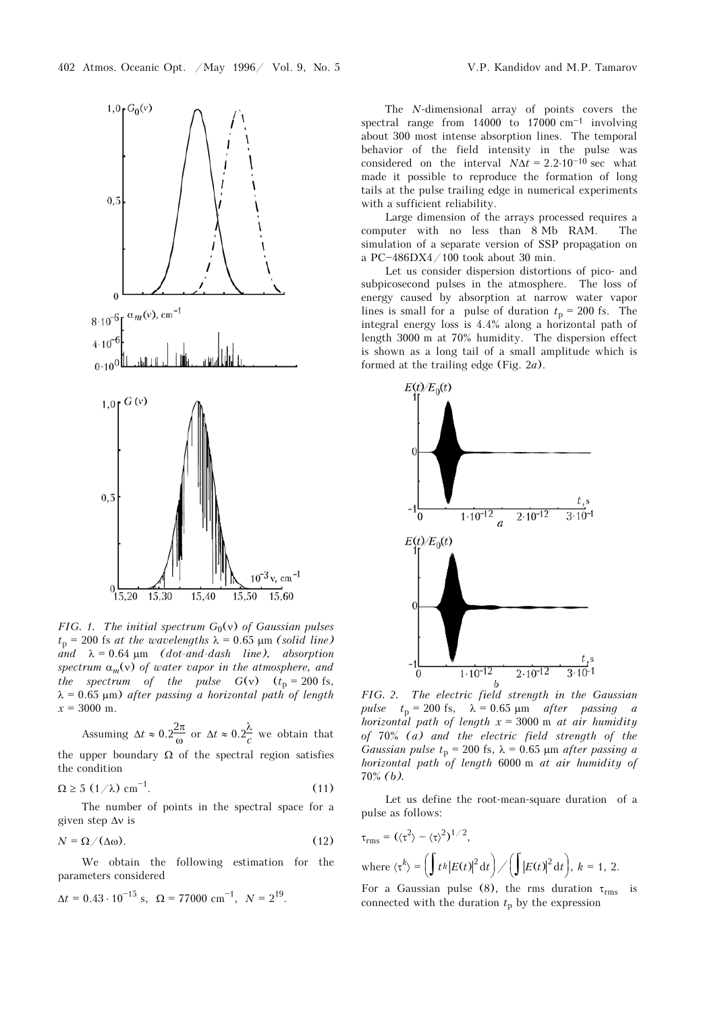

*FIG. 1. The initial spectrum G*<sub>0</sub>(v) *of Gaussian pulses*  $t_p = 200$  fs *at the wavelengths*  $\lambda = 0.65$  μm *(solid line)*  $\dot{a}$ <sup>*and*</sup>  $\lambda = 0.64 \mu m$  *(dot-and-dash line), absorption spectrum* α*m*(ν) *of water vapor in the atmosphere, and the spectrum of the pulse G(v)*  $(t_p = 200 \text{ fs},$  $\lambda = 0.65$   $\mu$ m) *after passing a horizontal path of length*  $x = 3000$  m.

Assuming 
$$
\Delta t \approx 0.2 \frac{2\pi}{\omega}
$$
 or  $\Delta t \approx 0.2 \frac{\lambda}{c}$  we obtain that

the upper boundary  $\Omega$  of the spectral region satisfies the condition

$$
\Omega \ge 5 \, \left( \frac{1}{\lambda} \right) \, \text{cm}^{-1}.\tag{11}
$$

The number of points in the spectral space for a given step Δν is

$$
N = \Omega / (\Delta \omega). \tag{12}
$$

We obtain the following estimation for the parameters considered

$$
\Delta t = 0.43 \cdot 10^{-15}
$$
 s,  $\Omega = 77000$  cm<sup>-1</sup>,  $N = 2^{19}$ .

The *N*-dimensional array of points covers the spectral range from  $14000$  to  $17000$  cm<sup>-1</sup> involving about 300 most intense absorption lines. The temporal behavior of the field intensity in the pulse was considered on the interval  $N\Delta t = 2.2 \cdot 10^{-10}$  sec what made it possible to reproduce the formation of long tails at the pulse trailing edge in numerical experiments with a sufficient reliability.

Large dimension of the arrays processed requires a computer with no less than 8 Mb RAM. The simulation of a separate version of SSP propagation on a PC $-486DX4/100$  took about 30 min.

Let us consider dispersion distortions of pico- and subpicosecond pulses in the atmosphere. The loss of energy caused by absorption at narrow water vapor lines is small for a pulse of duration  $t_p = 200$  fs. The integral energy loss is 4.4% along a horizontal path of length 3000 m at 70% humidity. The dispersion effect is shown as a long tail of a small amplitude which is formed at the trailing edge (Fig. 2*a*).



*FIG. 2. The electric field strength in the Gaussian pulse*  $t_p = 200$  fs,  $\lambda = 0.65$  μm *after passing a horizontal path of length x* = 3000 m *at air humidity of* 70% *(a) and the electric field strength of the Gaussian pulse t*<sub>p</sub> = 200 fs,  $\lambda$  = 0.65 µm *after passing a horizontal path of length* 6000 m *at air humidity of*  70% *(b).* 

Let us define the root-mean-square duration of a pulse as follows:

$$
\tau_{\rm rms} = (\langle \tau^2 \rangle - \langle \tau \rangle^2)^{1/2},
$$
  
where  $\langle \tau^k \rangle = \left( \int t^k |E(t)|^2 dt \right) / \left( \int |E(t)|^2 dt \right), k = 1, 2.$ 

For a Gaussian pulse (8), the rms duration  $\tau_{\rm rms}$  is connected with the duration  $t_p$  by the expression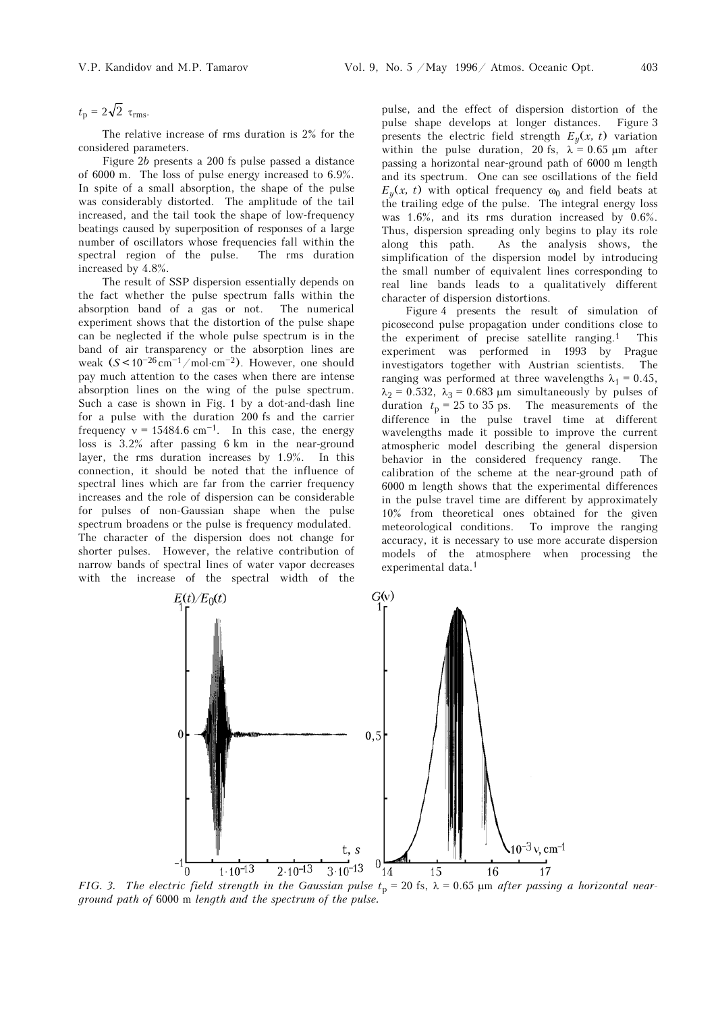$t_p = 2\sqrt{2} \tau_{\text{rms}}$ .

The relative increase of rms duration is 2% for the considered parameters.

Figure 2*b* presents a 200 fs pulse passed a distance of 6000 m. The loss of pulse energy increased to 6.9%. In spite of a small absorption, the shape of the pulse was considerably distorted. The amplitude of the tail increased, and the tail took the shape of low-frequency beatings caused by superposition of responses of a large number of oscillators whose frequencies fall within the spectral region of the pulse. The rms duration increased by 4.8%.

The result of SSP dispersion essentially depends on the fact whether the pulse spectrum falls within the absorption band of a gas or not. The numerical experiment shows that the distortion of the pulse shape can be neglected if the whole pulse spectrum is in the band of air transparency or the absorption lines are weak  $(S < 10^{-26} \text{ cm}^{-1} / \text{mol} \cdot \text{cm}^{-2})$ . However, one should pay much attention to the cases when there are intense absorption lines on the wing of the pulse spectrum. Such a case is shown in Fig. 1 by a dot-and-dash line for a pulse with the duration 200 fs and the carrier frequency  $v = 15484.6$  cm<sup>-1</sup>. In this case, the energy loss is 3.2% after passing 6 km in the near-ground layer, the rms duration increases by 1.9%. In this connection, it should be noted that the influence of spectral lines which are far from the carrier frequency increases and the role of dispersion can be considerable for pulses of non-Gaussian shape when the pulse spectrum broadens or the pulse is frequency modulated. The character of the dispersion does not change for shorter pulses. However, the relative contribution of narrow bands of spectral lines of water vapor decreases with the increase of the spectral width of the pulse, and the effect of dispersion distortion of the pulse shape develops at longer distances. Figure 3 presents the electric field strength  $E_y(x, t)$  variation within the pulse duration, 20 fs,  $\lambda = 0.65 \text{ }\mu\text{m}$  after passing a horizontal near-ground path of 6000 m length and its spectrum. One can see oscillations of the field  $E_y(x, t)$  with optical frequency  $\omega_0$  and field beats at the trailing edge of the pulse. The integral energy loss was 1.6%, and its rms duration increased by 0.6%. Thus, dispersion spreading only begins to play its role along this path. As the analysis shows, the simplification of the dispersion model by introducing the small number of equivalent lines corresponding to real line bands leads to a qualitatively different character of dispersion distortions.

Figure 4 presents the result of simulation of picosecond pulse propagation under conditions close to the experiment of precise satellite ranging.1 This experiment was performed in 1993 by Prague investigators together with Austrian scientists. The ranging was performed at three wavelengths  $\lambda_1 = 0.45$ ,  $\lambda_2 = 0.532$ ,  $\lambda_3 = 0.683$  μm simultaneously by pulses of duration  $t_p = 25$  to 35 ps. The measurements of the difference in the pulse travel time at different wavelengths made it possible to improve the current atmospheric model describing the general dispersion behavior in the considered frequency range. The calibration of the scheme at the near-ground path of 6000 m length shows that the experimental differences in the pulse travel time are different by approximately 10% from theoretical ones obtained for the given meteorological conditions. To improve the ranging accuracy, it is necessary to use more accurate dispersion models of the atmosphere when processing the experimental data.1



*FIG.* 3. The electric field strength in the Gaussian pulse  $t_p = 20$  fs,  $\lambda = 0.65$  µm after passing a horizontal near*ground path of* 6000 m *length and the spectrum of the pulse.*